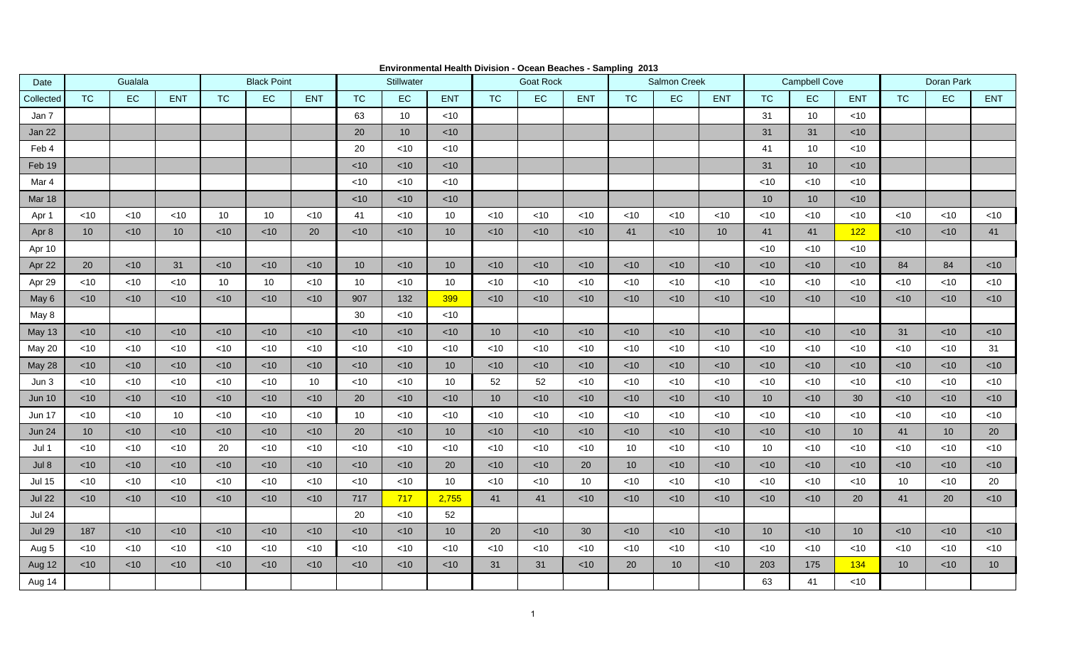| Date          | Gualala         |        |                 | <b>Black Point</b> |        |                 | <b>Stillwater</b> |                 |                 | <b>Goat Rock</b> |        |            | Salmon Creek |        |                 | <b>Campbell Cove</b> |                 |                 | Doran Park |           |            |
|---------------|-----------------|--------|-----------------|--------------------|--------|-----------------|-------------------|-----------------|-----------------|------------------|--------|------------|--------------|--------|-----------------|----------------------|-----------------|-----------------|------------|-----------|------------|
| Collected     | <b>TC</b>       | EC     | <b>ENT</b>      | <b>TC</b>          | EC     | <b>ENT</b>      | <b>TC</b>         | EC              | <b>ENT</b>      | <b>TC</b>        | EC.    | <b>ENT</b> | <b>TC</b>    | EC     | <b>ENT</b>      | <b>TC</b>            | EC              | <b>ENT</b>      | <b>TC</b>  | <b>EC</b> | <b>ENT</b> |
| Jan 7         |                 |        |                 |                    |        |                 | 63                | 10              | $<$ 10          |                  |        |            |              |        |                 | 31                   | 10              | $<$ 10          |            |           |            |
| Jan 22        |                 |        |                 |                    |        |                 | 20                | 10 <sup>°</sup> | $<$ 10          |                  |        |            |              |        |                 | 31                   | 31              | $<$ 10          |            |           |            |
| Feb 4         |                 |        |                 |                    |        |                 | 20                | $<$ 10          | $<$ 10          |                  |        |            |              |        |                 | 41                   | 10              | $<$ 10          |            |           |            |
| Feb 19        |                 |        |                 |                    |        |                 | < 10              | $<$ 10          | $<$ 10          |                  |        |            |              |        |                 | 31                   | 10 <sup>°</sup> | $<$ 10          |            |           |            |
| Mar 4         |                 |        |                 |                    |        |                 | <10               | $<$ 10          | $<$ 10          |                  |        |            |              |        |                 | $<$ 10               | <10             | $<$ 10          |            |           |            |
| Mar 18        |                 |        |                 |                    |        |                 | < 10              | $<$ 10          | $<$ 10          |                  |        |            |              |        |                 | 10                   | 10 <sup>°</sup> | $<$ 10          |            |           |            |
| Apr 1         | $<$ 10          | $<$ 10 | < 10            | 10                 | 10     | $<$ 10          | 41                | $<$ 10          | 10              | $<$ 10           | $<$ 10 | $<$ 10     | $<$ 10       | $<$ 10 | $<$ 10          | $<$ 10               | $<$ 10          | $<$ 10          | $<$ 10     | $<$ 10    | $<$ 10     |
| Apr 8         | 10 <sup>°</sup> | $<$ 10 | 10 <sup>°</sup> | $<$ 10             | < 10   | 20              | $<$ 10            | < 10            | 10 <sup>1</sup> | $<$ 10           | < 10   | <10        | 41           | $<$ 10 | 10 <sup>°</sup> | 41                   | 41              | 122             | < 10       | $<$ 10    | 41         |
| Apr 10        |                 |        |                 |                    |        |                 |                   |                 |                 |                  |        |            |              |        |                 | $<$ 10               | $<$ 10          | $<$ 10          |            |           |            |
| Apr 22        | 20              | < 10   | 31              | $<$ 10             | < 10   | < 10            | 10                | < 10            | 10 <sup>1</sup> | $<$ 10           | < 10   | < 10       | $<$ 10       | $<$ 10 | $<$ 10          | < 10                 | $<$ 10          | < 10            | 84         | 84        | $<$ 10     |
| Apr 29        | $<$ 10          | $<$ 10 | $<$ 10          | 10                 | 10     | $<$ 10          | 10                | $<$ 10          | 10              | $<$ 10           | $<$ 10 | $<$ 10     | $<$ 10       | $<$ 10 | $<$ 10          | $<$ 10               | $<$ 10          | $<$ 10          | $<$ 10     | $~<$ 10   | $<$ 10     |
| May 6         | $<$ 10          | $<$ 10 | $<$ 10          | <10                | $<$ 10 | $<$ 10          | 907               | 132             | 399             | $<$ 10           | $<$ 10 | <10        | $<$ 10       | $<$ 10 | $<$ 10          | $<$ 10               | <10             | $<$ 10          | < 10       | $<$ 10    | $<$ 10     |
| May 8         |                 |        |                 |                    |        |                 | 30                | $<10$           | $<$ 10          |                  |        |            |              |        |                 |                      |                 |                 |            |           |            |
| May 13        | $<$ 10          | $<$ 10 | $<$ 10          | $<$ 10             | $<$ 10 | $<$ 10          | $<$ 10            | $<$ 10          | $<$ 10          | 10               | $<$ 10 | $<$ 10     | $<$ 10       | $<$ 10 | $<$ 10          | $<$ 10               | $<$ 10          | $<$ 10          | 31         | $<$ 10    | $<$ 10     |
| May 20        | $<$ 10          | $<$ 10 | $<$ 10          | $<$ 10             | $<$ 10 | $<$ 10          | $<$ 10            | $<10$           | $<$ 10          | $<$ 10           | $<$ 10 | $<$ 10     | $<$ 10       | $<$ 10 | $<$ 10          | $<$ 10               | $<$ 10          | $<$ 10          | $<$ 10     | $<$ 10    | 31         |
| May 28        | $<$ 10          | $<$ 10 | $<$ 10          | <10                | $<$ 10 | $<$ 10          | $<$ 10            | $<$ 10          | 10              | $<$ 10           | $<$ 10 | <10        | $<$ 10       | $<$ 10 | < 10            | $<$ 10               | $<$ 10          | $<$ 10          | < 10       | $<$ 10    | $<$ 10     |
| Jun 3         | $<$ 10          | $<$ 10 | $<$ 10          | $<$ 10             | $<$ 10 | 10 <sup>°</sup> | $<$ 10            | $<$ 10          | 10              | 52               | 52     | $<$ 10     | $<$ 10       | $<$ 10 | $<$ 10          | $<$ 10               | $<$ 10          | $<$ 10          | $<$ 10     | $<$ 10    | $<$ 10     |
| <b>Jun 10</b> | < 10            | $<$ 10 | $<$ 10          | <10                | $<$ 10 | $<$ 10          | 20                | $<$ 10          | $<$ 10          | 10               | < 10   | $<$ 10     | $<$ 10       | $<$ 10 | $<$ 10          | 10                   | $<$ 10          | 30              | < 10       | $<$ 10    | $<$ 10     |
| <b>Jun 17</b> | $<$ 10          | $<$ 10 | 10              | $<$ 10             | $<$ 10 | $<$ 10          | 10                | $<$ 10          | $<$ 10          | $<$ 10           | $<$ 10 | $<$ 10     | $<$ 10       | $<$ 10 | < 10            | $<$ 10               | $<$ 10          | $<$ 10          | ~10        | $<$ 10    | $<$ 10     |
| <b>Jun 24</b> | 10 <sup>1</sup> | $<$ 10 | $<$ 10          | <10                | < 10   | $<$ 10          | 20                | $<10$           | 10 <sup>1</sup> | $<$ 10           | $<$ 10 | $<$ 10     | $<$ 10       | < 10   | < 10            | < 10                 | $<$ 10          | 10 <sup>1</sup> | 41         | 10        | 20         |
| Jul 1         | $<$ 10          | $<$ 10 | $<$ 10          | 20                 | $<$ 10 | $<$ 10          | $<$ 10            | $<10$           | $<$ 10          | $<$ 10           | $<$ 10 | $<$ 10     | 10           | $<$ 10 | $<$ 10          | 10                   | $<$ 10          | $<$ 10          | $<$ 10     | $<$ 10    | $<$ 10     |
| Jul 8         | $<$ 10          | $<$ 10 | $<$ 10          | <10                | $<$ 10 | $<$ 10          | $<$ 10            | $<$ 10          | 20              | $<$ 10           | $<$ 10 | 20         | 10           | $<$ 10 | $<$ 10          | $<$ 10               | $<$ 10          | $<$ 10          | $<$ 10     | $<$ 10    | $<$ 10     |
| <b>Jul 15</b> | $<10$           | $<$ 10 | $<$ 10          | <10                | $<10$  | $<$ 10          | $<$ 10            | $<10$           | 10              | $<$ 10           | <10    | 10         | $<$ 10       | $<$ 10 | $<10$           | $<10$                | $<$ 10          | $<$ 10          | 10         | $<$ 10    | 20         |
| <b>Jul 22</b> | $<$ 10          | $<$ 10 | $<$ 10          | $<$ 10             | $<$ 10 | $<$ 10          | 717               | 717             | 2,755           | 41               | 41     | $<$ 10     | $<$ 10       | $<$ 10 | < 10            | $<$ 10               | $<$ 10          | 20              | 41         | 20        | $<$ 10     |
| <b>Jul 24</b> |                 |        |                 |                    |        |                 | 20                | $<$ 10          | 52              |                  |        |            |              |        |                 |                      |                 |                 |            |           |            |
| <b>Jul 29</b> | 187             | $<$ 10 | $<$ 10          | $<$ 10             | $<$ 10 | $<$ 10          | $<$ 10            | $<$ 10          | 10              | 20               | $<$ 10 | 30         | ~10          | $<$ 10 | $<$ 10          | 10                   | $<$ 10          | 10 <sup>°</sup> | ~10        | ~10       | $<$ 10     |
| Aug 5         | $<$ 10          | $<$ 10 | $<$ 10          | $<$ 10             | $<$ 10 | $<$ 10          | $<$ 10            | $<$ 10          | $<$ 10          | $<$ 10           | $<$ 10 | $<$ 10     | $<$ 10       | $<$ 10 | $<$ 10          | $<$ 10               | $<$ 10          | $<$ 10          | $<$ 10     | $<$ 10    | $<$ 10     |
| Aug 12        | < 10            | $<$ 10 | < 10            | $<$ 10             | < 10   | < 10            | $<$ 10            | < 10            | < 10            | 31               | 31     | $<$ 10     | 20           | 10     | < 10            | 203                  | 175             | 134             | 10         | < 10      | 10         |
| Aug 14        |                 |        |                 |                    |        |                 |                   |                 |                 |                  |        |            |              |        |                 | 63                   | 41              | $<$ 10          |            |           |            |

**Environmental Health Division - Ocean Beaches - Sampling 2013**